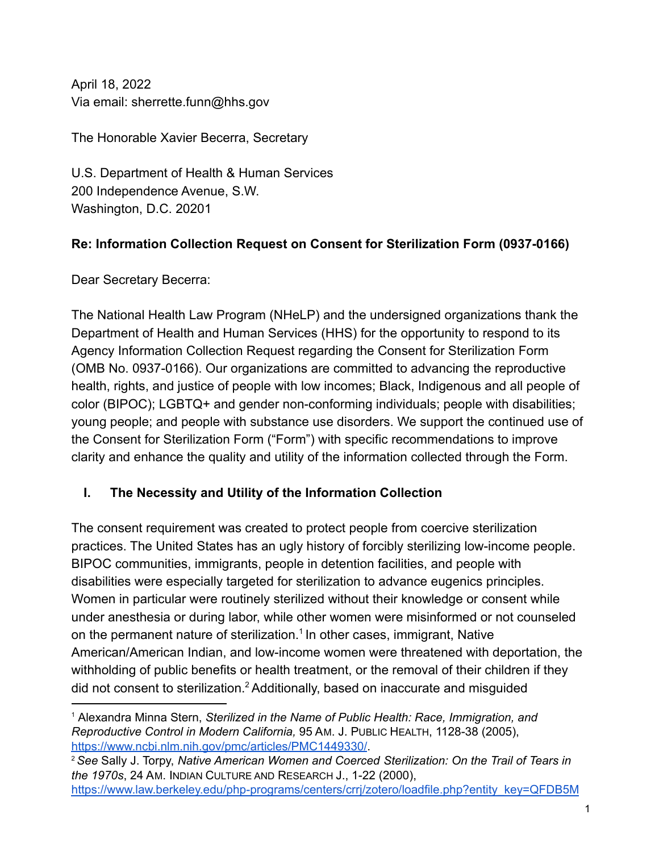April 18, 2022 Via email: sherrette.funn@hhs.gov

The Honorable Xavier Becerra, Secretary

U.S. Department of Health & Human Services 200 Independence Avenue, S.W. Washington, D.C. 20201

# **Re: Information Collection Request on Consent for Sterilization Form (0937-0166)**

Dear Secretary Becerra:

The National Health Law Program (NHeLP) and the undersigned organizations thank the Department of Health and Human Services (HHS) for the opportunity to respond to its Agency Information Collection Request regarding the Consent for Sterilization Form (OMB No. 0937-0166). Our organizations are committed to advancing the reproductive health, rights, and justice of people with low incomes; Black, Indigenous and all people of color (BIPOC); LGBTQ+ and gender non-conforming individuals; people with disabilities; young people; and people with substance use disorders. We support the continued use of the Consent for Sterilization Form ("Form") with specific recommendations to improve clarity and enhance the quality and utility of the information collected through the Form.

# **I. The Necessity and Utility of the Information Collection**

The consent requirement was created to protect people from coercive sterilization practices. The United States has an ugly history of forcibly sterilizing low-income people. BIPOC communities, immigrants, people in detention facilities, and people with disabilities were especially targeted for sterilization to advance eugenics principles. Women in particular were routinely sterilized without their knowledge or consent while under anesthesia or during labor, while other women were misinformed or not counseled on the permanent nature of sterilization.<sup>1</sup> In other cases, immigrant, Native American/American Indian, and low-income women were threatened with deportation, the withholding of public benefits or health treatment, or the removal of their children if they did not consent to sterilization.<sup>2</sup> Additionally, based on inaccurate and misguided

<sup>1</sup> Alexandra Minna Stern, *Sterilized in the Name of Public Health: Race, Immigration, and Reproductive Control in Modern California,* 95 AM. J. PUBLIC HEALTH, 1128-38 (2005), <https://www.ncbi.nlm.nih.gov/pmc/articles/PMC1449330/>.

<sup>2</sup>*See* Sally J. Torpy, *Native American Women and Coerced Sterilization: On the Trail of Tears in the 1970s*, 24 AM. INDIAN CULTURE AND RESEARCH J., 1-22 (2000),

[https://www.law.berkeley.edu/php-programs/centers/crrj/zotero/loadfile.php?entity\\_key=QFDB5M](https://www.law.berkeley.edu/php-programs/centers/crrj/zotero/loadfile.php?entity_key=QFDB5MW3)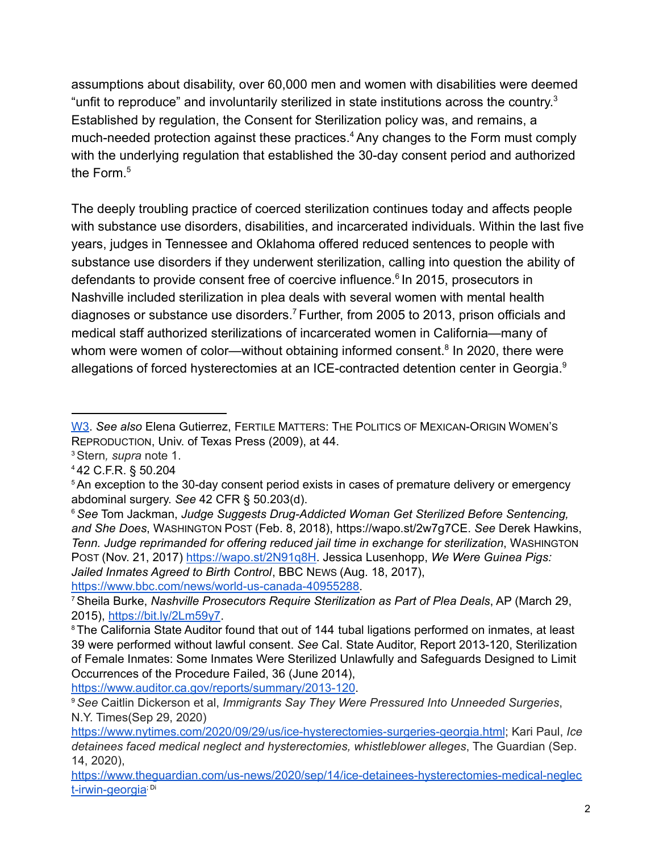assumptions about disability, over 60,000 men and women with disabilities were deemed "unfit to reproduce" and involuntarily sterilized in state institutions across the country.<sup>3</sup> Established by regulation, the Consent for Sterilization policy was, and remains, a much-needed protection against these practices.<sup>4</sup> Any changes to the Form must comply with the underlying regulation that established the 30-day consent period and authorized the Form.<sup>5</sup>

The deeply troubling practice of coerced sterilization continues today and affects people with substance use disorders, disabilities, and incarcerated individuals. Within the last five years, judges in Tennessee and Oklahoma offered reduced sentences to people with substance use disorders if they underwent sterilization, calling into question the ability of defendants to provide consent free of coercive influence.<sup>6</sup> In 2015, prosecutors in Nashville included sterilization in plea deals with several women with mental health diagnoses or substance use disorders.<sup>7</sup> Further, from 2005 to 2013, prison officials and medical staff authorized sterilizations of incarcerated women in California—many of whom were women of color—without obtaining informed consent. $8$  In 2020, there were allegations of forced hysterectomies at an ICE-contracted detention center in Georgia.<sup>9</sup>

[https://www.bbc.com/news/world-us-canada-40955288.](https://www.bbc.com/news/world-us-canada-40955288)

<https://www.auditor.ca.gov/reports/summary/2013-120>.

[W3.](https://www.law.berkeley.edu/php-programs/centers/crrj/zotero/loadfile.php?entity_key=QFDB5MW3) *See also* Elena Gutierrez, FERTILE MATTERS: THE POLITICS OF MEXICAN-ORIGIN WOMEN'S REPRODUCTION, Univ. of Texas Press (2009), at 44.

<sup>3</sup>Stern*, supra* note 1.

<sup>4</sup> 42 C.F.R. § 50.204

<sup>&</sup>lt;sup>5</sup> An exception to the 30-day consent period exists in cases of premature delivery or emergency abdominal surgery. *See* 42 CFR § 50.203(d).

<sup>6</sup>*See* Tom Jackman, *Judge Suggests Drug-Addicted Woman Get Sterilized Before Sentencing, and She Does*, WASHINGTON POST (Feb. 8, 2018), https://wapo.st/2w7g7CE. *See* Derek Hawkins, *Tenn. Judge reprimanded for offering reduced jail time in exchange for sterilization*, WASHINGTON POST (Nov. 21, 2017) [https://wapo.st/2N91q8H.](https://wapo.st/2N91q8H) Jessica Lusenhopp, *We Were Guinea Pigs: Jailed Inmates Agreed to Birth Control*, BBC NEWS (Aug. 18, 2017),

<sup>7</sup>Sheila Burke, *Nashville Prosecutors Require Sterilization as Part of Plea Deals*, AP (March 29, 2015), <https://bit.ly/2Lm59y7>.

<sup>&</sup>lt;sup>8</sup> The California State Auditor found that out of 144 tubal ligations performed on inmates, at least 39 were performed without lawful consent. *See* Cal. State Auditor, Report 2013-120, Sterilization of Female Inmates: Some Inmates Were Sterilized Unlawfully and Safeguards Designed to Limit Occurrences of the Procedure Failed, 36 (June 2014),

<sup>9</sup>*See* Caitlin Dickerson et al, *Immigrants Say They Were Pressured Into Unneeded Surgeries*, N.Y. Times(Sep 29, 2020)

<https://www.nytimes.com/2020/09/29/us/ice-hysterectomies-surgeries-georgia.html>; Kari Paul, *Ice detainees faced medical neglect and hysterectomies, whistleblower alleges*, The Guardian (Sep. 14, 2020),

[https://www.theguardian.com/us-news/2020/sep/14/ice-detainees-hysterectomies-medical-neglec](https://www.theguardian.com/us-news/2020/sep/14/ice-detainees-hysterectomies-medical-neglect-irwin-georgia) [t-irwin-georgia](https://www.theguardian.com/us-news/2020/sep/14/ice-detainees-hysterectomies-medical-neglect-irwin-georgia)<sup>, pi</sup>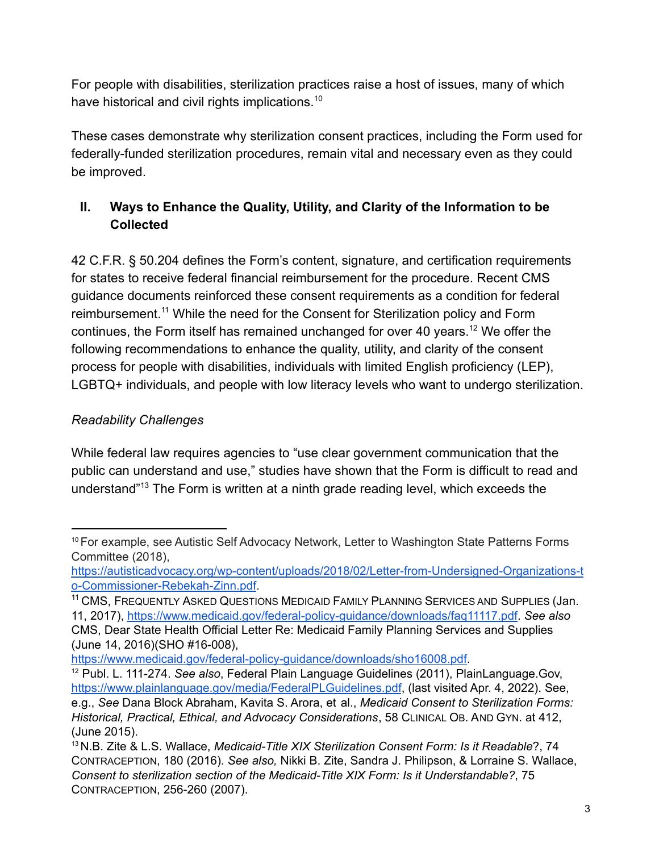For people with disabilities, sterilization practices raise a host of issues, many of which have historical and civil rights implications.<sup>10</sup>

These cases demonstrate why sterilization consent practices, including the Form used for federally-funded sterilization procedures, remain vital and necessary even as they could be improved.

# **II. Ways to Enhance the Quality, Utility, and Clarity of the Information to be Collected**

42 C.F.R. § 50.204 defines the Form's content, signature, and certification requirements for states to receive federal financial reimbursement for the procedure. Recent CMS guidance documents reinforced these consent requirements as a condition for federal reimbursement.<sup>11</sup> While the need for the Consent for Sterilization policy and Form continues, the Form itself has remained unchanged for over 40 years.<sup>12</sup> We offer the following recommendations to enhance the quality, utility, and clarity of the consent process for people with disabilities, individuals with limited English proficiency (LEP), LGBTQ+ individuals, and people with low literacy levels who want to undergo sterilization.

## *Readability Challenges*

While federal law requires agencies to "use clear government communication that the public can understand and use," studies have shown that the Form is difficult to read and understand"<sup>13</sup> The Form is written at a ninth grade reading level, which exceeds the

[https://www.medicaid.gov/federal-policy-guidance/downloads/sho16008.pdf.](https://www.medicaid.gov/federal-policy-guidance/downloads/sho16008.pdf)

<sup>&</sup>lt;sup>10</sup> For example, see Autistic Self Advocacy Network, Letter to Washington State Patterns Forms Committee (2018),

https://autisticadvocacy.org/wp-content/uploads/2018/02/Letter-from-Undersigned-Organizations-t o-Commissioner-Rebekah-Zinn.pdf.

<sup>&</sup>lt;sup>11</sup> CMS, FREQUENTLY ASKED QUESTIONS MEDICAID FAMILY PLANNING SERVICES AND SUPPLIES (Jan. 11, 2017), <https://www.medicaid.gov/federal-policy-guidance/downloads/faq11117.pdf>. *See also* CMS, Dear State Health Official Letter Re: Medicaid Family Planning Services and Supplies (June 14, 2016)(SHO #16-008),

<sup>12</sup> Publ. L. 111-274. *See also*, Federal Plain Language Guidelines (2011), PlainLanguage.Gov, <https://www.plainlanguage.gov/media/FederalPLGuidelines.pdf>, (last visited Apr. 4, 2022). See, e.g., *See* Dana Block Abraham, Kavita S. Arora, et al., *Medicaid Consent to Sterilization Forms: Historical, Practical, Ethical, and Advocacy Considerations*, 58 CLINICAL OB. AND GYN. at 412, (June 2015).

<sup>13</sup> N.B. Zite & L.S. Wallace, *Medicaid-Title XIX Sterilization Consent Form: Is it Readable*?, 74 CONTRACEPTION, 180 (2016). *See also,* Nikki B. Zite, Sandra J. Philipson, & Lorraine S. Wallace, *Consent to sterilization section of the Medicaid-Title XIX Form: Is it Understandable?*, 75 CONTRACEPTION, 256-260 (2007).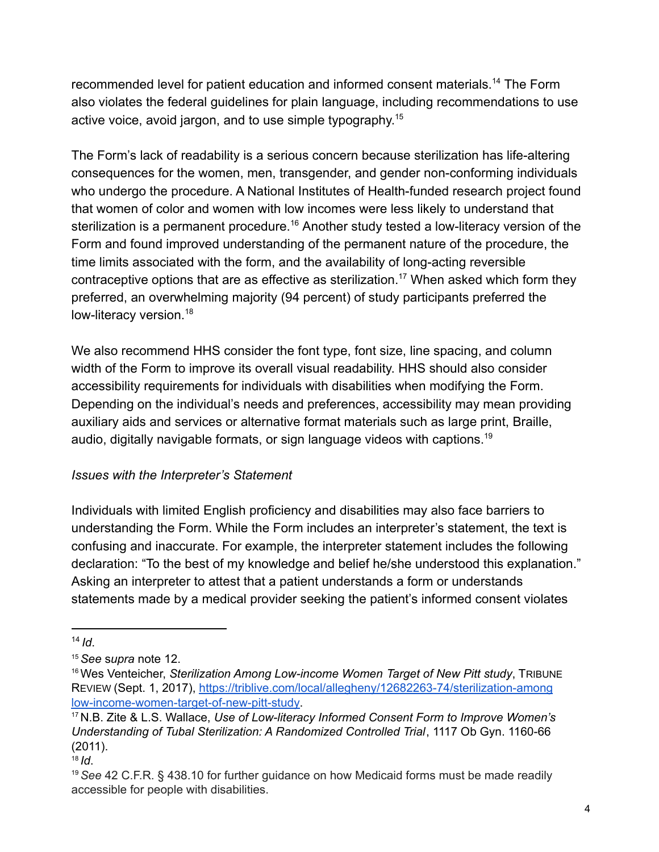recommended level for patient education and informed consent materials.<sup>14</sup> The Form also violates the federal guidelines for plain language, including recommendations to use active voice, avoid jargon, and to use simple typography. 15

The Form's lack of readability is a serious concern because sterilization has life-altering consequences for the women, men, transgender, and gender non-conforming individuals who undergo the procedure. A National Institutes of Health-funded research project found that women of color and women with low incomes were less likely to understand that sterilization is a permanent procedure.<sup>16</sup> Another study tested a low-literacy version of the Form and found improved understanding of the permanent nature of the procedure, the time limits associated with the form, and the availability of long-acting reversible contraceptive options that are as effective as sterilization.<sup>17</sup> When asked which form they preferred, an overwhelming majority (94 percent) of study participants preferred the low-literacy version.<sup>18</sup>

We also recommend HHS consider the font type, font size, line spacing, and column width of the Form to improve its overall visual readability. HHS should also consider accessibility requirements for individuals with disabilities when modifying the Form. Depending on the individual's needs and preferences, accessibility may mean providing auxiliary aids and services or alternative format materials such as large print, Braille, audio, digitally navigable formats, or sign language videos with captions.<sup>19</sup>

### *Issues with the Interpreter's Statement*

Individuals with limited English proficiency and disabilities may also face barriers to understanding the Form. While the Form includes an interpreter's statement, the text is confusing and inaccurate. For example, the interpreter statement includes the following declaration: "To the best of my knowledge and belief he/she understood this explanation." Asking an interpreter to attest that a patient understands a form or understands statements made by a medical provider seeking the patient's informed consent violates

<sup>14</sup> *Id*.

<sup>15</sup>*See* s*upra* note 12.

<sup>16</sup>Wes Venteicher, *Sterilization Among Low-income Women Target of New Pitt study*, TRIBUNE REVIEW (Sept. 1, 2017), <https://triblive.com/local/allegheny/12682263-74/sterilization-among> [low-income-women-target-of-new-pitt-study.](https://triblive.com/local/allegheny/12682263-74/sterilization-among)

<sup>17</sup> N.B. Zite & L.S. Wallace, *Use of Low-literacy Informed Consent Form to Improve Women's Understanding of Tubal Sterilization: A Randomized Controlled Trial*, 1117 Ob Gyn. 1160-66 (2011).

 $18$  *Id.* 

<sup>19</sup>*See* 42 C.F.R. § 438.10 for further guidance on how Medicaid forms must be made readily accessible for people with disabilities.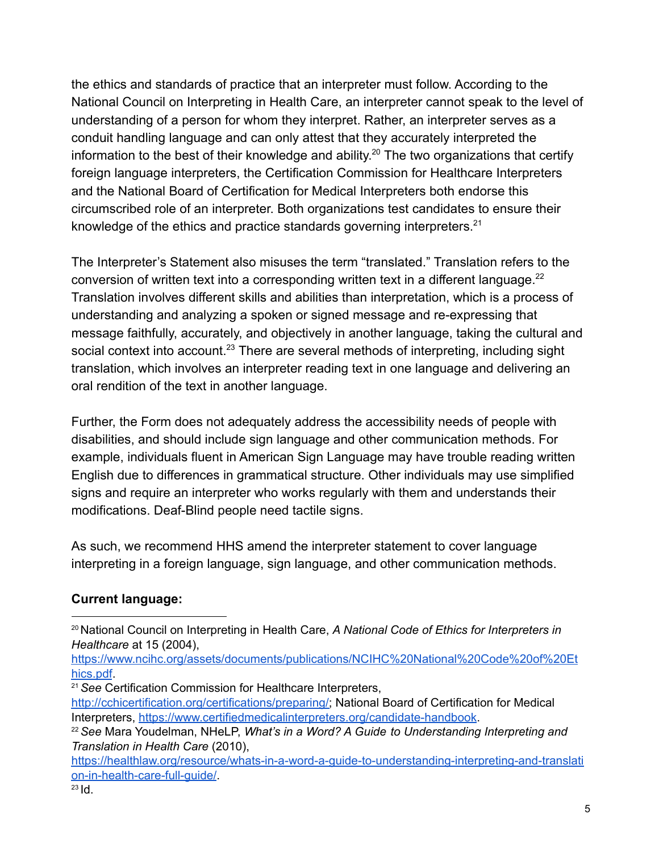the ethics and standards of practice that an interpreter must follow. According to the National Council on Interpreting in Health Care, an interpreter cannot speak to the level of understanding of a person for whom they interpret. Rather, an interpreter serves as a conduit handling language and can only attest that they accurately interpreted the information to the best of their knowledge and ability.<sup>20</sup> The two organizations that certify foreign language interpreters, the Certification Commission for Healthcare Interpreters and the National Board of Certification for Medical Interpreters both endorse this circumscribed role of an interpreter. Both organizations test candidates to ensure their knowledge of the ethics and practice standards governing interpreters.<sup>21</sup>

The Interpreter's Statement also misuses the term "translated." Translation refers to the conversion of written text into a corresponding written text in a different language. $^{22}$ Translation involves different skills and abilities than interpretation, which is a process of understanding and analyzing a spoken or signed message and re-expressing that message faithfully, accurately, and objectively in another language, taking the cultural and social context into account.<sup>23</sup> There are several methods of interpreting, including sight translation, which involves an interpreter reading text in one language and delivering an oral rendition of the text in another language.

Further, the Form does not adequately address the accessibility needs of people with disabilities, and should include sign language and other communication methods. For example, individuals fluent in American Sign Language may have trouble reading written English due to differences in grammatical structure. Other individuals may use simplified signs and require an interpreter who works regularly with them and understands their modifications. Deaf-Blind people need tactile signs.

As such, we recommend HHS amend the interpreter statement to cover language interpreting in a foreign language, sign language, and other communication methods.

## **Current language:**

[https://www.ncihc.org/assets/documents/publications/NCIHC%20National%20Code%20of%20Et](https://www.ncihc.org/assets/documents/publications/NCIHC%20National%20Code%20of%20Ethics.pdf) [hics.pdf](https://www.ncihc.org/assets/documents/publications/NCIHC%20National%20Code%20of%20Ethics.pdf).

<sup>21</sup>*See* Certification Commission for Healthcare Interpreters,

<sup>20</sup> National Council on Interpreting in Health Care, *A National Code of Ethics for Interpreters in Healthcare* at 15 (2004),

[http://cchicertification.org/certifications/preparing/;](http://cchicertification.org/certifications/preparing/) National Board of Certification for Medical Interpreters, <https://www.certifiedmedicalinterpreters.org/candidate-handbook>.

<sup>22</sup>*See* Mara Youdelman, NHeLP, *What's in a Word? A Guide to Understanding Interpreting and Translation in Health Care* (2010),

[https://healthlaw.org/resource/whats-in-a-word-a-guide-to-understanding-interpreting-and-translati](https://healthlaw.org/resource/whats-in-a-word-a-guide-to-understanding-interpreting-and-translation-in-health-care-full-guide/) [on-in-health-care-full-guide/](https://healthlaw.org/resource/whats-in-a-word-a-guide-to-understanding-interpreting-and-translation-in-health-care-full-guide/).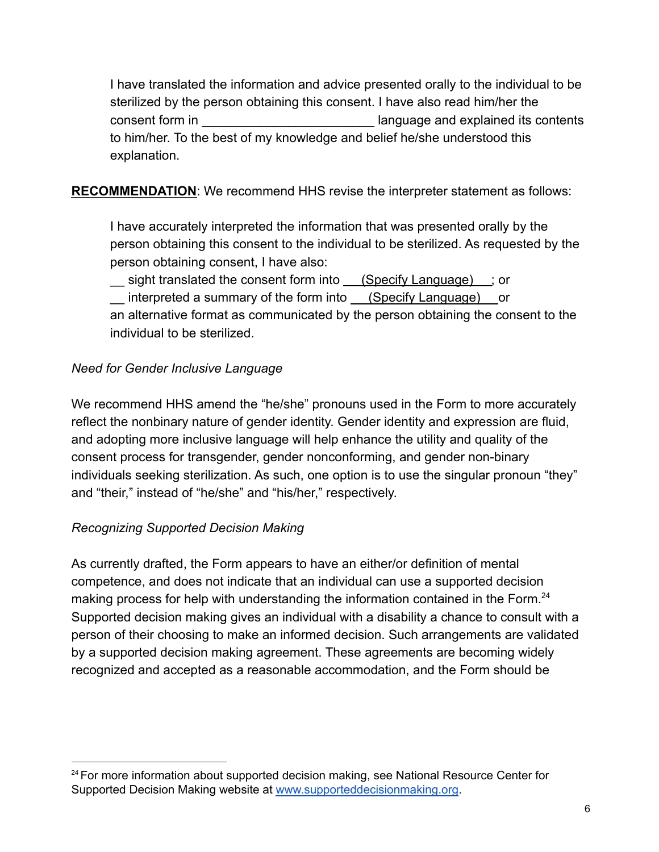I have translated the information and advice presented orally to the individual to be sterilized by the person obtaining this consent. I have also read him/her the consent form in **Example 2018** Consent form in **Example 2018** Ianguage and explained its contents to him/her. To the best of my knowledge and belief he/she understood this explanation.

**RECOMMENDATION**: We recommend HHS revise the interpreter statement as follows:

I have accurately interpreted the information that was presented orally by the person obtaining this consent to the individual to be sterilized. As requested by the person obtaining consent, I have also:

\_\_ sight translated the consent form into (Specify Language) ; or

\_\_ interpreted a summary of the form into (Specify Language) or

an alternative format as communicated by the person obtaining the consent to the individual to be sterilized.

### *Need for Gender Inclusive Language*

We recommend HHS amend the "he/she" pronouns used in the Form to more accurately reflect the nonbinary nature of gender identity. Gender identity and expression are fluid, and adopting more inclusive language will help enhance the utility and quality of the consent process for transgender, gender nonconforming, and gender non-binary individuals seeking sterilization. As such, one option is to use the singular pronoun "they" and "their," instead of "he/she" and "his/her," respectively.

## *Recognizing Supported Decision Making*

As currently drafted, the Form appears to have an either/or definition of mental competence, and does not indicate that an individual can use a supported decision making process for help with understanding the information contained in the Form.<sup>24</sup> Supported decision making gives an individual with a disability a chance to consult with a person of their choosing to make an informed decision. Such arrangements are validated by a supported decision making agreement. These agreements are becoming widely recognized and accepted as a reasonable accommodation, and the Form should be

<sup>&</sup>lt;sup>24</sup> For more information about supported decision making, see National Resource Center for Supported Decision Making website at [www.supporteddecisionmaking.org](http://www.supporteddecisionmaking.org).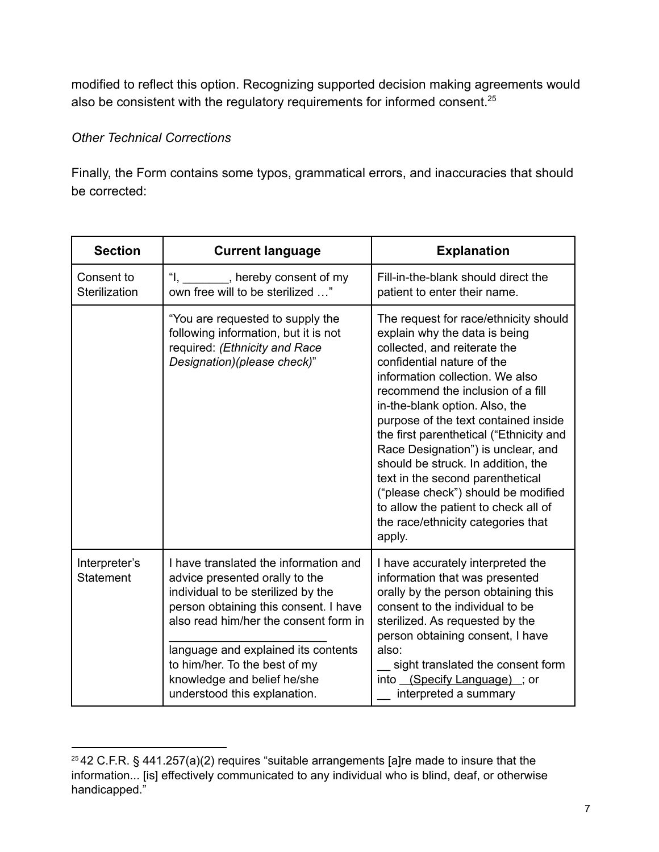modified to reflect this option. Recognizing supported decision making agreements would also be consistent with the regulatory requirements for informed consent.<sup>25</sup>

### *Other Technical Corrections*

Finally, the Form contains some typos, grammatical errors, and inaccuracies that should be corrected:

| <b>Section</b>              | <b>Current language</b>                                                                                                                                                                                                                                                                                                                | <b>Explanation</b>                                                                                                                                                                                                                                                                                                                                                                                                                                                                                                                                                               |
|-----------------------------|----------------------------------------------------------------------------------------------------------------------------------------------------------------------------------------------------------------------------------------------------------------------------------------------------------------------------------------|----------------------------------------------------------------------------------------------------------------------------------------------------------------------------------------------------------------------------------------------------------------------------------------------------------------------------------------------------------------------------------------------------------------------------------------------------------------------------------------------------------------------------------------------------------------------------------|
| Consent to<br>Sterilization | "I, _______, hereby consent of my<br>own free will to be sterilized "                                                                                                                                                                                                                                                                  | Fill-in-the-blank should direct the<br>patient to enter their name.                                                                                                                                                                                                                                                                                                                                                                                                                                                                                                              |
|                             | "You are requested to supply the<br>following information, but it is not<br>required: (Ethnicity and Race<br>Designation)(please check)"                                                                                                                                                                                               | The request for race/ethnicity should<br>explain why the data is being<br>collected, and reiterate the<br>confidential nature of the<br>information collection. We also<br>recommend the inclusion of a fill<br>in-the-blank option. Also, the<br>purpose of the text contained inside<br>the first parenthetical ("Ethnicity and<br>Race Designation") is unclear, and<br>should be struck. In addition, the<br>text in the second parenthetical<br>("please check") should be modified<br>to allow the patient to check all of<br>the race/ethnicity categories that<br>apply. |
| Interpreter's<br>Statement  | I have translated the information and<br>advice presented orally to the<br>individual to be sterilized by the<br>person obtaining this consent. I have<br>also read him/her the consent form in<br>language and explained its contents<br>to him/her. To the best of my<br>knowledge and belief he/she<br>understood this explanation. | I have accurately interpreted the<br>information that was presented<br>orally by the person obtaining this<br>consent to the individual to be<br>sterilized. As requested by the<br>person obtaining consent, I have<br>also:<br>sight translated the consent form<br>into (Specify Language); or<br>interpreted a summary                                                                                                                                                                                                                                                       |

<sup>&</sup>lt;sup>25</sup> 42 C.F.R. § 441.257(a)(2) requires "suitable arrangements [a]re made to insure that the information... [is] effectively communicated to any individual who is blind, deaf, or otherwise handicapped."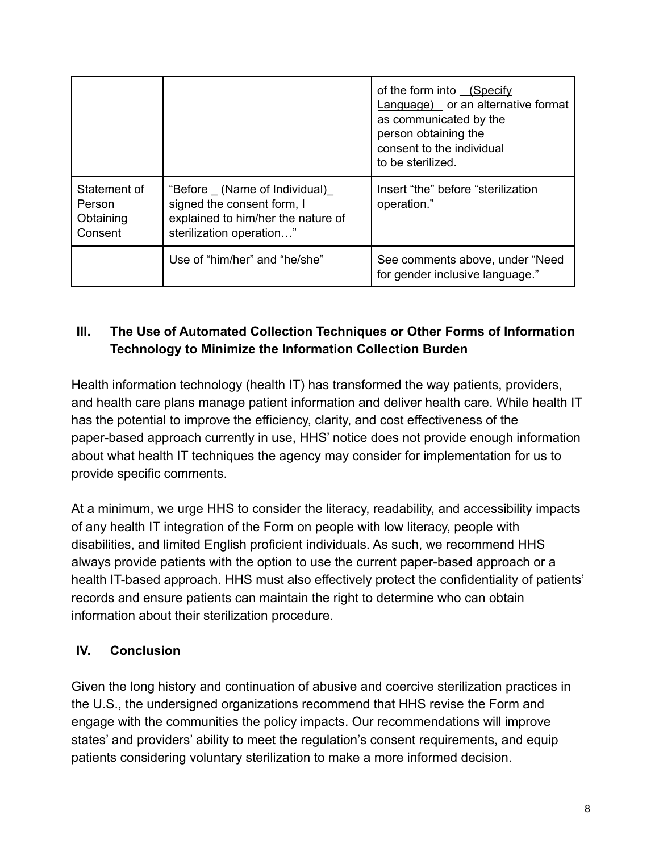|                                                |                                                                                                                              | of the form into (Specify<br>Language) or an alternative format<br>as communicated by the<br>person obtaining the<br>consent to the individual<br>to be sterilized. |
|------------------------------------------------|------------------------------------------------------------------------------------------------------------------------------|---------------------------------------------------------------------------------------------------------------------------------------------------------------------|
| Statement of<br>Person<br>Obtaining<br>Consent | "Before (Name of Individual)<br>signed the consent form, I<br>explained to him/her the nature of<br>sterilization operation" | Insert "the" before "sterilization<br>operation."                                                                                                                   |
|                                                | Use of "him/her" and "he/she"                                                                                                | See comments above, under "Need<br>for gender inclusive language."                                                                                                  |

# **III. The Use of Automated Collection Techniques or Other Forms of Information Technology to Minimize the Information Collection Burden**

Health information technology (health IT) has transformed the way patients, providers, and health care plans manage patient information and deliver health care. While health IT has the potential to improve the efficiency, clarity, and cost effectiveness of the paper-based approach currently in use, HHS' notice does not provide enough information about what health IT techniques the agency may consider for implementation for us to provide specific comments.

At a minimum, we urge HHS to consider the literacy, readability, and accessibility impacts of any health IT integration of the Form on people with low literacy, people with disabilities, and limited English proficient individuals. As such, we recommend HHS always provide patients with the option to use the current paper-based approach or a health IT-based approach. HHS must also effectively protect the confidentiality of patients' records and ensure patients can maintain the right to determine who can obtain information about their sterilization procedure.

### **IV. Conclusion**

Given the long history and continuation of abusive and coercive sterilization practices in the U.S., the undersigned organizations recommend that HHS revise the Form and engage with the communities the policy impacts. Our recommendations will improve states' and providers' ability to meet the regulation's consent requirements, and equip patients considering voluntary sterilization to make a more informed decision.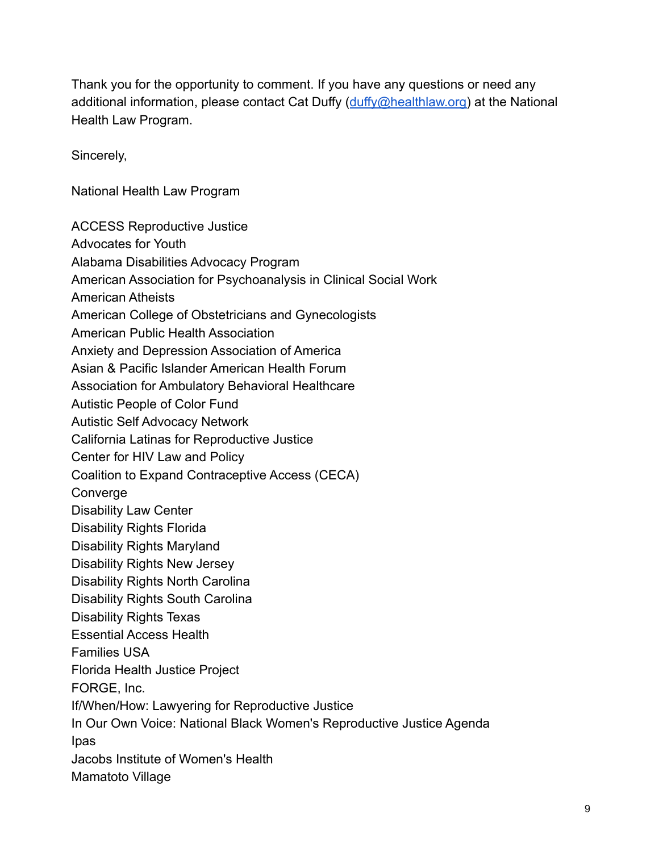Thank you for the opportunity to comment. If you have any questions or need any additional information, please contact Cat Duffy ([duffy@healthlaw.org\)](mailto:duffy@healthlaw.org) at the National Health Law Program.

Sincerely,

National Health Law Program

ACCESS Reproductive Justice Advocates for Youth Alabama Disabilities Advocacy Program American Association for Psychoanalysis in Clinical Social Work American Atheists American College of Obstetricians and Gynecologists American Public Health Association Anxiety and Depression Association of America Asian & Pacific Islander American Health Forum Association for Ambulatory Behavioral Healthcare Autistic People of Color Fund Autistic Self Advocacy Network California Latinas for Reproductive Justice Center for HIV Law and Policy Coalition to Expand Contraceptive Access (CECA) Converge Disability Law Center Disability Rights Florida Disability Rights Maryland Disability Rights New Jersey Disability Rights North Carolina Disability Rights South Carolina Disability Rights Texas Essential Access Health Families USA Florida Health Justice Project FORGE, Inc. If/When/How: Lawyering for Reproductive Justice In Our Own Voice: National Black Women's Reproductive Justice Agenda Ipas Jacobs Institute of Women's Health Mamatoto Village